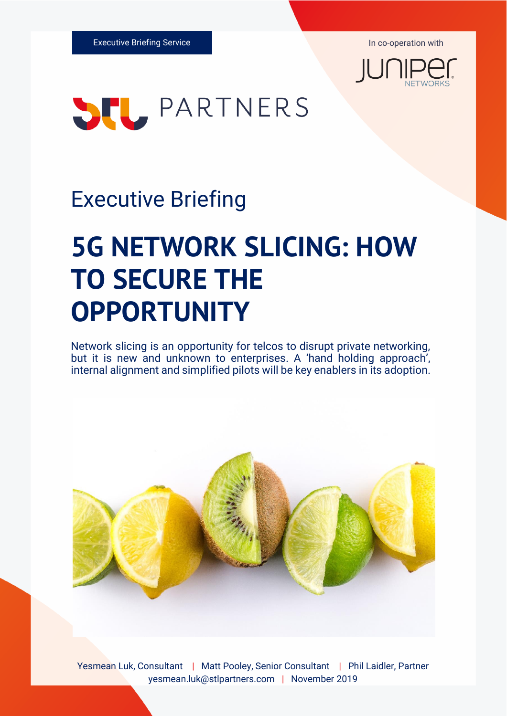



## Executive Briefing

# **5G NETWORK SLICING: HOW TO SECURE THE OPPORTUNITY**

Network slicing is an opportunity for telcos to disrupt private networking, but it is new and unknown to enterprises. A 'hand holding approach', internal alignment and simplified pilots will be key enablers in its adoption.



Yesmean Luk, Consultant | Matt Pooley, Senior Consultant | Phil Laidler, Partner yesmean.luk@stlpartners.com | November 2019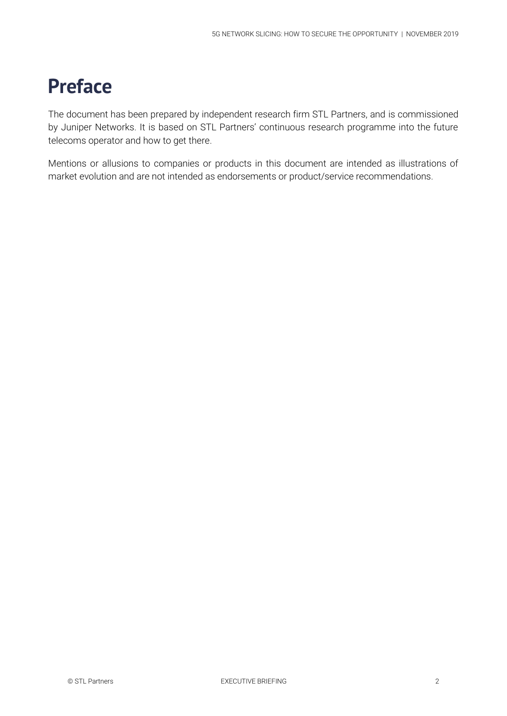## **Preface**

The document has been prepared by independent research firm STL Partners, and is commissioned by Juniper Networks. It is based on STL Partners' continuous research programme into the future telecoms operator and how to get there.

Mentions or allusions to companies or products in this document are intended as illustrations of market evolution and are not intended as endorsements or product/service recommendations.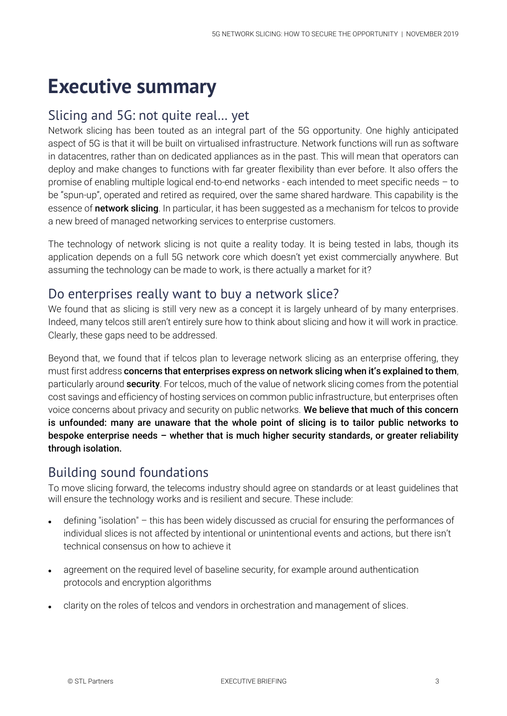## **Executive summary**

#### Slicing and 5G: not quite real… yet

Network slicing has been touted as an integral part of the 5G opportunity. One highly anticipated aspect of 5G is that it will be built on virtualised infrastructure. Network functions will run as software in datacentres, rather than on dedicated appliances as in the past. This will mean that operators can deploy and make changes to functions with far greater flexibility than ever before. It also offers the promise of enabling multiple logical end-to-end networks - each intended to meet specific needs – to be "spun-up", operated and retired as required, over the same shared hardware. This capability is the essence of network slicing. In particular, it has been suggested as a mechanism for telcos to provide a new breed of managed networking services to enterprise customers.

The technology of network slicing is not quite a reality today. It is being tested in labs, though its application depends on a full 5G network core which doesn't yet exist commercially anywhere. But assuming the technology can be made to work, is there actually a market for it?

#### Do enterprises really want to buy a network slice?

We found that as slicing is still very new as a concept it is largely unheard of by many enterprises. Indeed, many telcos still aren't entirely sure how to think about slicing and how it will work in practice. Clearly, these gaps need to be addressed.

Beyond that, we found that if telcos plan to leverage network slicing as an enterprise offering, they must first address concerns that enterprises express on network slicing when it's explained to them, particularly around **security**. For telcos, much of the value of network slicing comes from the potential cost savings and efficiency of hosting services on common public infrastructure, but enterprises often voice concerns about privacy and security on public networks. We believe that much of this concern is unfounded: many are unaware that the whole point of slicing is to tailor public networks to bespoke enterprise needs – whether that is much higher security standards, or greater reliability through isolation.

#### Building sound foundations

To move slicing forward, the telecoms industry should agree on standards or at least guidelines that will ensure the technology works and is resilient and secure. These include:

- defining "isolation" this has been widely discussed as crucial for ensuring the performances of individual slices is not affected by intentional or unintentional events and actions, but there isn't technical consensus on how to achieve it
- agreement on the required level of baseline security, for example around authentication protocols and encryption algorithms
- clarity on the roles of telcos and vendors in orchestration and management of slices.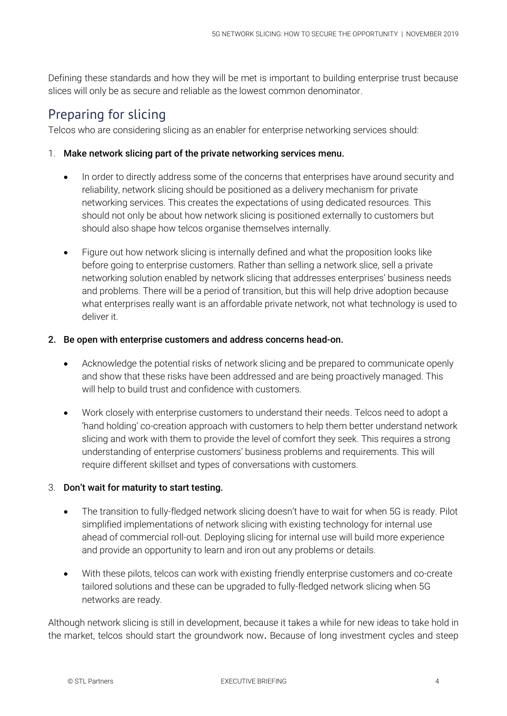Defining these standards and how they will be met is important to building enterprise trust because slices will only be as secure and reliable as the lowest common denominator.

#### Preparing for slicing

Telcos who are considering slicing as an enabler for enterprise networking services should:

#### 1. Make network slicing part of the private networking services menu.

- In order to directly address some of the concerns that enterprises have around security and reliability, network slicing should be positioned as a delivery mechanism for private networking services. This creates the expectations of using dedicated resources. This should not only be about how network slicing is positioned externally to customers but should also shape how telcos organise themselves internally.
- Figure out how network slicing is internally defined and what the proposition looks like before going to enterprise customers. Rather than selling a network slice, sell a private networking solution enabled by network slicing that addresses enterprises' business needs and problems. There will be a period of transition, but this will help drive adoption because what enterprises really want is an affordable private network, not what technology is used to deliver it.

#### 2. Be open with enterprise customers and address concerns head-on.

- Acknowledge the potential risks of network slicing and be prepared to communicate openly and show that these risks have been addressed and are being proactively managed. This will help to build trust and confidence with customers.
- Work closely with enterprise customers to understand their needs. Telcos need to adopt a 'hand holding' co-creation approach with customers to help them better understand network slicing and work with them to provide the level of comfort they seek. This requires a strong understanding of enterprise customers' business problems and requirements. This will require different skillset and types of conversations with customers.

#### 3. Don't wait for maturity to start testing.

- The transition to fully-fledged network slicing doesn't have to wait for when 5G is ready. Pilot simplified implementations of network slicing with existing technology for internal use ahead of commercial roll-out. Deploying slicing for internal use will build more experience and provide an opportunity to learn and iron out any problems or details.
- With these pilots, telcos can work with existing friendly enterprise customers and co-create tailored solutions and these can be upgraded to fully-fledged network slicing when 5G networks are ready.

Although network slicing is still in development, because it takes a while for new ideas to take hold in the market, telcos should start the groundwork now. Because of long investment cycles and steep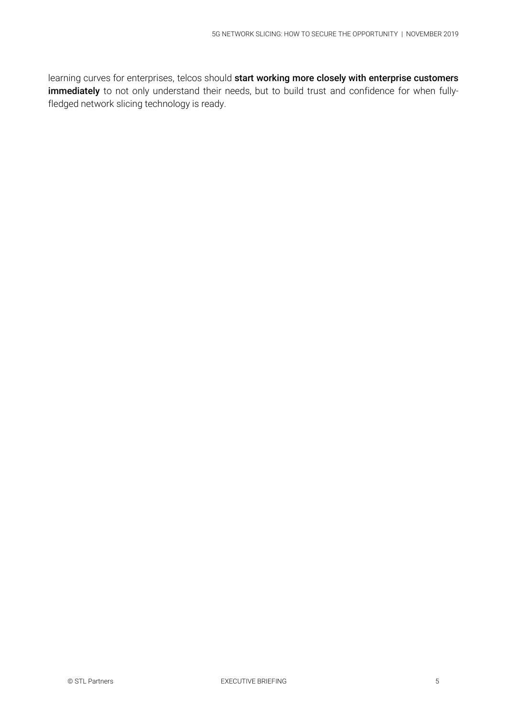learning curves for enterprises, telcos should start working more closely with enterprise customers immediately to not only understand their needs, but to build trust and confidence for when fullyfledged network slicing technology is ready.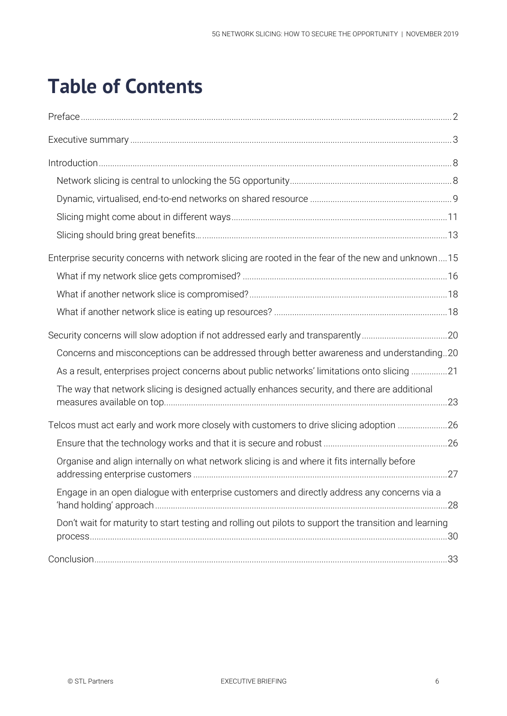## **Table of Contents**

| Enterprise security concerns with network slicing are rooted in the fear of the new and unknown15      |  |
|--------------------------------------------------------------------------------------------------------|--|
|                                                                                                        |  |
|                                                                                                        |  |
|                                                                                                        |  |
| Security concerns will slow adoption if not addressed early and transparently20                        |  |
| Concerns and misconceptions can be addressed through better awareness and understanding20              |  |
| As a result, enterprises project concerns about public networks' limitations onto slicing 21           |  |
| The way that network slicing is designed actually enhances security, and there are additional          |  |
| Telcos must act early and work more closely with customers to drive slicing adoption 26                |  |
|                                                                                                        |  |
| Organise and align internally on what network slicing is and where it fits internally before           |  |
| Engage in an open dialogue with enterprise customers and directly address any concerns via a           |  |
| Don't wait for maturity to start testing and rolling out pilots to support the transition and learning |  |
|                                                                                                        |  |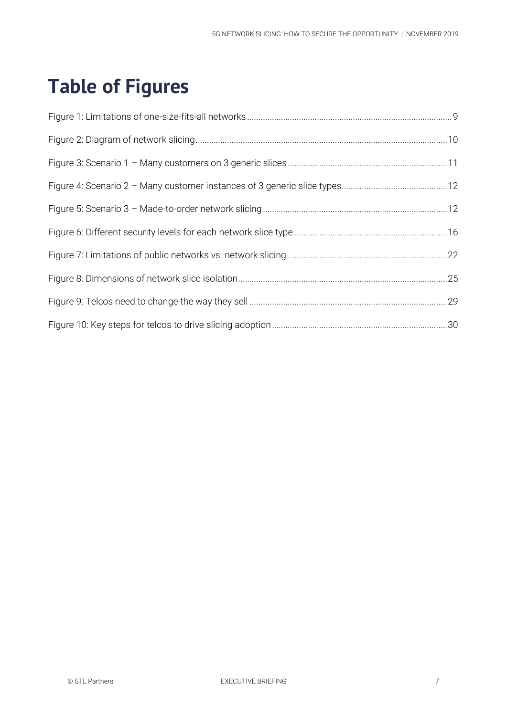## **Table of Figures**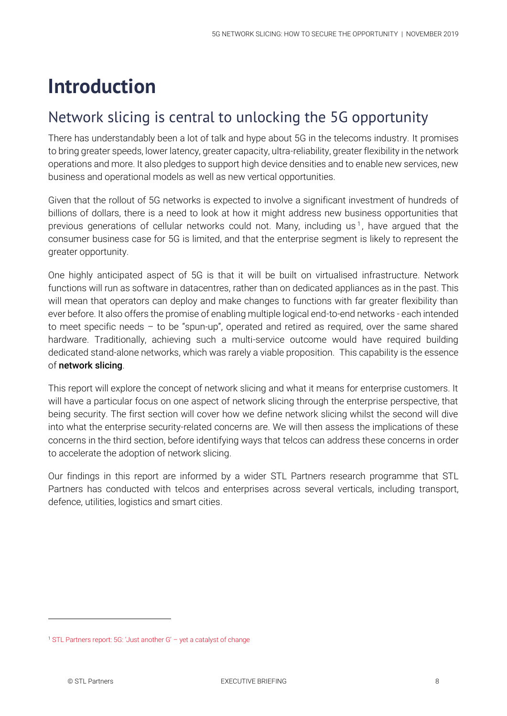## **Introduction**

## Network slicing is central to unlocking the 5G opportunity

There has understandably been a lot of talk and hype about 5G in the telecoms industry. It promises to bring greater speeds, lower latency, greater capacity, ultra-reliability, greater flexibility in the network operations and more. It also pledges to support high device densities and to enable new services, new business and operational models as well as new vertical opportunities.

Given that the rollout of 5G networks is expected to involve a significant investment of hundreds of billions of dollars, there is a need to look at how it might address new business opportunities that previous generations of cellular networks could not. Many, including us<sup>1</sup>, have argued that the consumer business case for 5G is limited, and that the enterprise segment is likely to represent the greater opportunity.

One highly anticipated aspect of 5G is that it will be built on virtualised infrastructure. Network functions will run as software in datacentres, rather than on dedicated appliances as in the past. This will mean that operators can deploy and make changes to functions with far greater flexibility than ever before. It also offers the promise of enabling multiple logical end-to-end networks - each intended to meet specific needs – to be "spun-up", operated and retired as required, over the same shared hardware. Traditionally, achieving such a multi-service outcome would have required building dedicated stand-alone networks, which was rarely a viable proposition. This capability is the essence of network slicing.

This report will explore the concept of network slicing and what it means for enterprise customers. It will have a particular focus on one aspect of network slicing through the enterprise perspective, that being security. The first section will cover how we define network slicing whilst the second will dive into what the enterprise security-related concerns are. We will then assess the implications of these concerns in the third section, before identifying ways that telcos can address these concerns in order to accelerate the adoption of network slicing.

Our findings in this report are informed by a wider STL Partners research programme that STL Partners has conducted with telcos and enterprises across several verticals, including transport, defence, utilities, logistics and smart cities.

<sup>1</sup> [STL Partners report: 5G: 'Just another G' –](https://stlpartners.com/research/5g-just-another-g-yet-a-catalyst-of-change/) yet a catalyst of change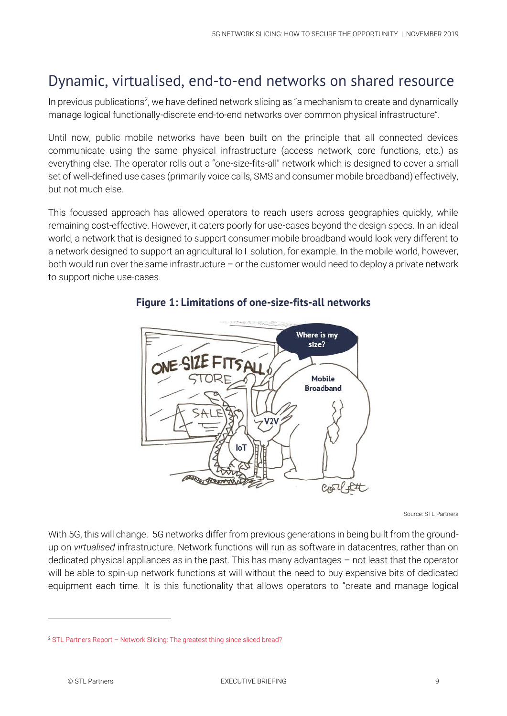## Dynamic, virtualised, end-to-end networks on shared resource

In previous publications<sup>2</sup>, we have defined network slicing as "a mechanism to create and dynamically manage logical functionally-discrete end-to-end networks over common physical infrastructure".

Until now, public mobile networks have been built on the principle that all connected devices communicate using the same physical infrastructure (access network, core functions, etc.) as everything else. The operator rolls out a "one-size-fits-all" network which is designed to cover a small set of well-defined use cases (primarily voice calls, SMS and consumer mobile broadband) effectively, but not much else.

This focussed approach has allowed operators to reach users across geographies quickly, while remaining cost-effective. However, it caters poorly for use-cases beyond the design specs. In an ideal world, a network that is designed to support consumer mobile broadband would look very different to a network designed to support an agricultural IoT solution, for example. In the mobile world, however, both would run over the same infrastructure – or the customer would need to deploy a private network to support niche use-cases.



#### **Figure 1: Limitations of one-size-fits-all networks**

Source: STL Partners

With 5G, this will change. 5G networks differ from previous generations in being built from the groundup on *virtualised* infrastructure. Network functions will run as software in datacentres, rather than on dedicated physical appliances as in the past. This has many advantages – not least that the operator will be able to spin-up network functions at will without the need to buy expensive bits of dedicated equipment each time. It is this functionality that allows operators to "create and manage logical

<sup>2</sup> STL Partners Report – [Network Slicing: The greatest thing since sliced bread?](https://stlpartners.com/research/network-slicing-the-greatest-thing-since-sliced-bread/)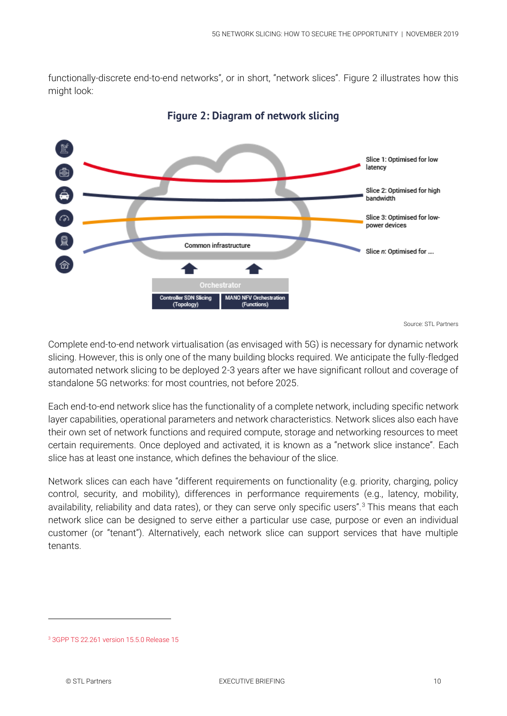functionally-discrete end-to-end networks", or in short, "network slices". [Figure 2](#page-9-0) illustrates how this might look:

<span id="page-9-0"></span>

**Figure 2: Diagram of network slicing**

Source: STL Partners

Complete end-to-end network virtualisation (as envisaged with 5G) is necessary for dynamic network slicing. However, this is only one of the many building blocks required. We anticipate the fully-fledged automated network slicing to be deployed 2-3 years after we have significant rollout and coverage of standalone 5G networks: for most countries, not before 2025.

Each end-to-end network slice has the functionality of a complete network, including specific network layer capabilities, operational parameters and network characteristics. Network slices also each have their own set of network functions and required compute, storage and networking resources to meet certain requirements. Once deployed and activated, it is known as a "network slice instance". Each slice has at least one instance, which defines the behaviour of the slice.

Network slices can each have "different requirements on functionality (e.g. priority, charging, policy control, security, and mobility), differences in performance requirements (e.g., latency, mobility, availability, reliability and data rates), or they can serve only specific users".<sup>3</sup> This means that each network slice can be designed to serve either a particular use case, purpose or even an individual customer (or "tenant"). Alternatively, each network slice can support services that have multiple tenants.

<sup>3</sup> [3GPP TS 22.261 version 15.5.0 Release 15](https://www.etsi.org/deliver/etsi_ts/122200_122299/122261/15.05.00_60/ts_122261v150500p.pdf)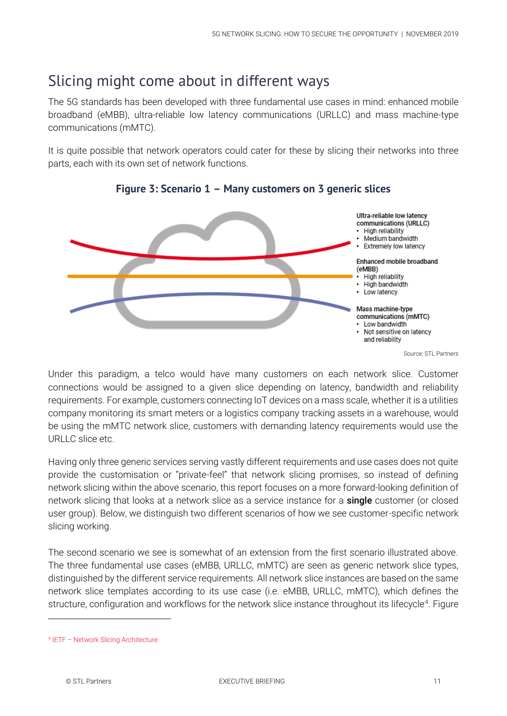### Slicing might come about in different ways

The 5G standards has been developed with three fundamental use cases in mind: enhanced mobile broadband (eMBB), ultra-reliable low latency communications (URLLC) and mass machine-type communications (mMTC).

It is quite possible that network operators could cater for these by slicing their networks into three parts, each with its own set of network functions.



**Figure 3: Scenario 1 – Many customers on 3 generic slices**

Source: STL Partners

Under this paradigm, a telco would have many customers on each network slice. Customer connections would be assigned to a given slice depending on latency, bandwidth and reliability requirements. For example, customers connecting IoT devices on a mass scale, whether it is a utilities company monitoring its smart meters or a logistics company tracking assets in a warehouse, would be using the mMTC network slice, customers with demanding latency requirements would use the URLLC slice etc.

Having only three generic services serving vastly different requirements and use cases does not quite provide the customisation or "private-feel" that network slicing promises, so instead of defining network slicing within the above scenario, this report focuses on a more forward-looking definition of network slicing that looks at a network slice as a service instance for a **single** customer (or closed user group). Below, we distinguish two different scenarios of how we see customer-specific network slicing working.

The second scenario we see is somewhat of an extension from the first scenario illustrated above. The three fundamental use cases (eMBB, URLLC, mMTC) are seen as generic network slice types, distinguished by the different service requirements. All network slice instances are based on the same network slice templates according to its use case (i.e. eMBB, URLLC, mMTC), which defines the structure, configuration and workflows for the network slice instance throughout its lifecycle<sup>4</sup>. Figure

<sup>4</sup> IETF – [Network Slicing Architecture](https://tools.ietf.org/id/draft-geng-netslices-architecture-01.html#rfc.section.2.3)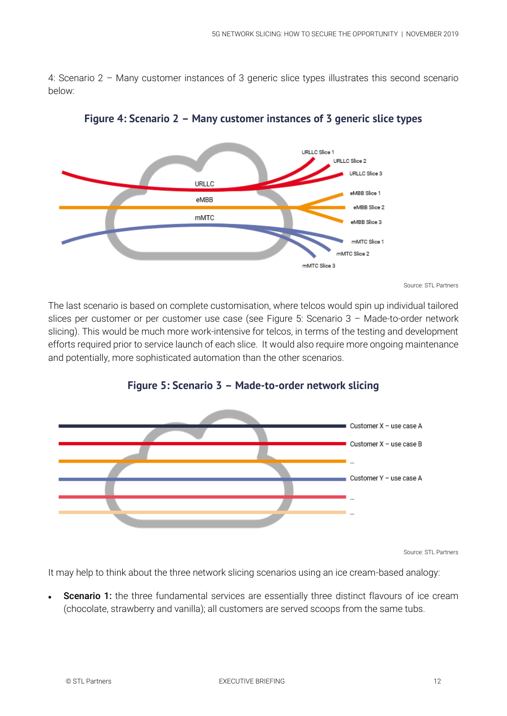4: Scenario 2 – [Many customer instances of 3 generic slice types](#page-11-0) illustrates this second scenario below:

<span id="page-11-0"></span>

**Figure 4: Scenario 2 – Many customer instances of 3 generic slice types**

Source: STL Partners

The last scenario is based on complete customisation, where telcos would spin up individual tailored slices per customer or per customer use case (see Figure 5: Scenario 3 – [Made-to-order network](#page-11-1)  [slicing\)](#page-11-1). This would be much more work-intensive for telcos, in terms of the testing and development efforts required prior to service launch of each slice. It would also require more ongoing maintenance and potentially, more sophisticated automation than the other scenarios.

<span id="page-11-1"></span>

#### **Figure 5: Scenario 3 – Made-to-order network slicing**

Source: STL Partners

It may help to think about the three network slicing scenarios using an ice cream-based analogy:

**Scenario 1:** the three fundamental services are essentially three distinct flavours of ice cream (chocolate, strawberry and vanilla); all customers are served scoops from the same tubs.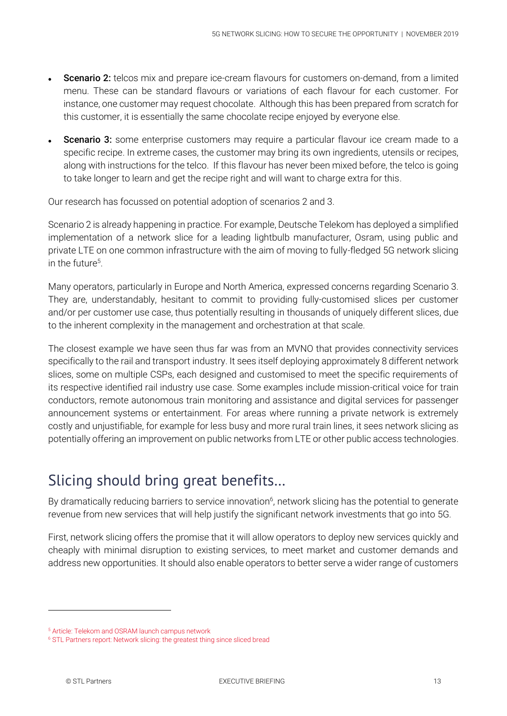- **Scenario 2:** telcos mix and prepare ice-cream flavours for customers on-demand, from a limited menu. These can be standard flavours or variations of each flavour for each customer. For instance, one customer may request chocolate. Although this has been prepared from scratch for this customer, it is essentially the same chocolate recipe enjoyed by everyone else.
- **Scenario 3:** some enterprise customers may require a particular flavour ice cream made to a specific recipe. In extreme cases, the customer may bring its own ingredients, utensils or recipes, along with instructions for the telco. If this flavour has never been mixed before, the telco is going to take longer to learn and get the recipe right and will want to charge extra for this.

Our research has focussed on potential adoption of scenarios 2 and 3.

Scenario 2 is already happening in practice. For example, Deutsche Telekom has deployed a simplified implementation of a network slice for a leading lightbulb manufacturer, Osram, using public and private LTE on one common infrastructure with the aim of moving to fully-fledged 5G network slicing in the future<sup>5</sup>.

Many operators, particularly in Europe and North America, expressed concerns regarding Scenario 3. They are, understandably, hesitant to commit to providing fully-customised slices per customer and/or per customer use case, thus potentially resulting in thousands of uniquely different slices, due to the inherent complexity in the management and orchestration at that scale.

The closest example we have seen thus far was from an MVNO that provides connectivity services specifically to the rail and transport industry. It sees itself deploying approximately 8 different network slices, some on multiple CSPs, each designed and customised to meet the specific requirements of its respective identified rail industry use case. Some examples include mission-critical voice for train conductors, remote autonomous train monitoring and assistance and digital services for passenger announcement systems or entertainment. For areas where running a private network is extremely costly and unjustifiable, for example for less busy and more rural train lines, it sees network slicing as potentially offering an improvement on public networks from LTE or other public access technologies.

## Slicing should bring great benefits…

By dramatically reducing barriers to service innovation<sup>6</sup>, network slicing has the potential to generate revenue from new services that will help justify the significant network investments that go into 5G.

First, network slicing offers the promise that it will allow operators to deploy new services quickly and cheaply with minimal disruption to existing services, to meet market and customer demands and address new opportunities. It should also enable operators to better serve a wider range of customers

1

<sup>5</sup> [Article: Telekom and OSRAM launch campus network](https://www.telekom.com/en/media/media-information/archive/telekom-and-osram-launch-campus-network-564112)

<sup>6</sup> [STL Partners report: Network slicing: the greatest thing since sliced bread](https://stlpartners.com/research/network-slicing-the-greatest-thing-since-sliced-bread/)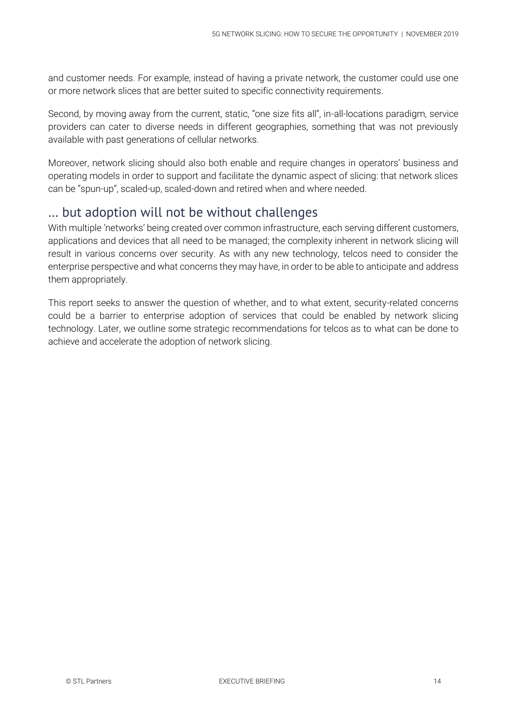and customer needs. For example, instead of having a private network, the customer could use one or more network slices that are better suited to specific connectivity requirements.

Second, by moving away from the current, static, "one size fits all", in-all-locations paradigm, service providers can cater to diverse needs in different geographies, something that was not previously available with past generations of cellular networks.

Moreover, network slicing should also both enable and require changes in operators' business and operating models in order to support and facilitate the dynamic aspect of slicing: that network slices can be "spun-up", scaled-up, scaled-down and retired when and where needed.

#### … but adoption will not be without challenges

With multiple 'networks' being created over common infrastructure, each serving different customers, applications and devices that all need to be managed; the complexity inherent in network slicing will result in various concerns over security. As with any new technology, telcos need to consider the enterprise perspective and what concerns they may have, in order to be able to anticipate and address them appropriately.

This report seeks to answer the question of whether, and to what extent, security-related concerns could be a barrier to enterprise adoption of services that could be enabled by network slicing technology. Later, we outline some strategic recommendations for telcos as to what can be done to achieve and accelerate the adoption of network slicing.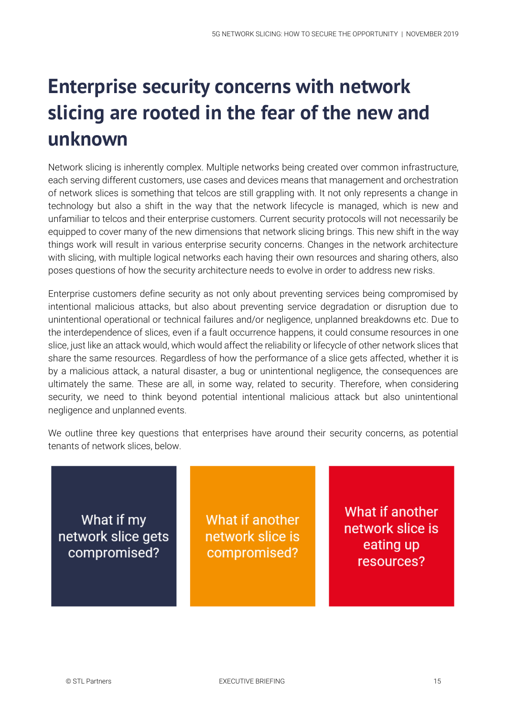## **Enterprise security concerns with network slicing are rooted in the fear of the new and unknown**

Network slicing is inherently complex. Multiple networks being created over common infrastructure, each serving different customers, use cases and devices means that management and orchestration of network slices is something that telcos are still grappling with. It not only represents a change in technology but also a shift in the way that the network lifecycle is managed, which is new and unfamiliar to telcos and their enterprise customers. Current security protocols will not necessarily be equipped to cover many of the new dimensions that network slicing brings. This new shift in the way things work will result in various enterprise security concerns. Changes in the network architecture with slicing, with multiple logical networks each having their own resources and sharing others, also poses questions of how the security architecture needs to evolve in order to address new risks.

Enterprise customers define security as not only about preventing services being compromised by intentional malicious attacks, but also about preventing service degradation or disruption due to unintentional operational or technical failures and/or negligence, unplanned breakdowns etc. Due to the interdependence of slices, even if a fault occurrence happens, it could consume resources in one slice, just like an attack would, which would affect the reliability or lifecycle of other network slices that share the same resources. Regardless of how the performance of a slice gets affected, whether it is by a malicious attack, a natural disaster, a bug or unintentional negligence, the consequences are ultimately the same. These are all, in some way, related to security. Therefore, when considering security, we need to think beyond potential intentional malicious attack but also unintentional negligence and unplanned events.

We outline three key questions that enterprises have around their security concerns, as potential tenants of network slices, below.

What if my network slice gets compromised?

What if another network slice is compromised?

What if another network slice is eating up resources?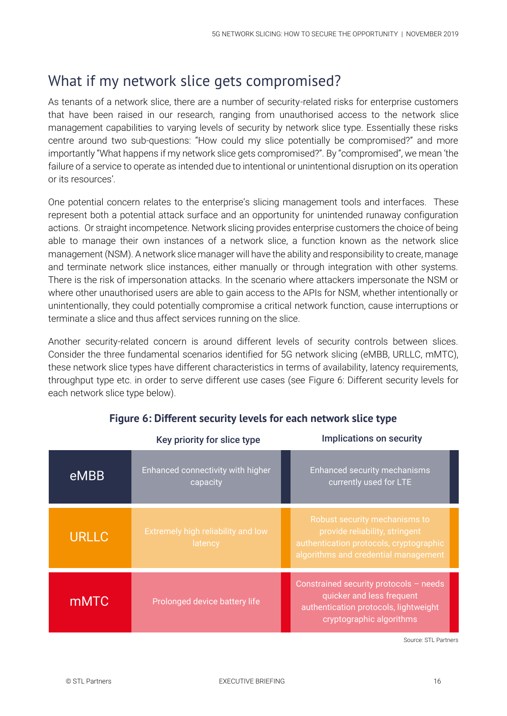### <span id="page-15-0"></span>What if my network slice gets compromised?

As tenants of a network slice, there are a number of security-related risks for enterprise customers that have been raised in our research, ranging from unauthorised access to the network slice management capabilities to varying levels of security by network slice type. Essentially these risks centre around two sub-questions: "How could my slice potentially be compromised?" and more importantly "What happens if my network slice gets compromised?". By "compromised", we mean 'the failure of a service to operate as intended due to intentional or unintentional disruption on its operation or its resources'.

One potential concern relates to the enterprise's slicing management tools and interfaces. These represent both a potential attack surface and an opportunity for unintended runaway configuration actions. Or straight incompetence. Network slicing provides enterprise customers the choice of being able to manage their own instances of a network slice, a function known as the network slice management (NSM). A network slice manager will have the ability and responsibility to create, manage and terminate network slice instances, either manually or through integration with other systems. There is the risk of impersonation attacks. In the scenario where attackers impersonate the NSM or where other unauthorised users are able to gain access to the APIs for NSM, whether intentionally or unintentionally, they could potentially compromise a critical network function, cause interruptions or terminate a slice and thus affect services running on the slice.

Another security-related concern is around different levels of security controls between slices. Consider the three fundamental scenarios identified for 5G network slicing (eMBB, URLLC, mMTC), these network slice types have different characteristics in terms of availability, latency requirements, throughput type etc. in order to serve different use cases (see Figure 6: [Different security levels for](#page-15-0)  [each network slice type](#page-15-0) below).

|              | Key priority for slice type                          | <b>Implications on security</b>                                                                                                                    |
|--------------|------------------------------------------------------|----------------------------------------------------------------------------------------------------------------------------------------------------|
| eMBB         | Enhanced connectivity with higher<br>capacity        | <b>Enhanced security mechanisms</b><br>currently used for LTE                                                                                      |
| <b>URLLC</b> | <b>Extremely high reliability and low</b><br>latency | Robust security mechanisms to<br>provide reliability, stringent<br>authentication protocols, cryptographic<br>algorithms and credential management |
| <b>mMTC</b>  | Prolonged device battery life                        | Constrained security protocols - needs<br>quicker and less frequent<br>authentication protocols, lightweight<br>cryptographic algorithms           |

#### **Figure 6: Different security levels for each network slice type**

Source: STL Partners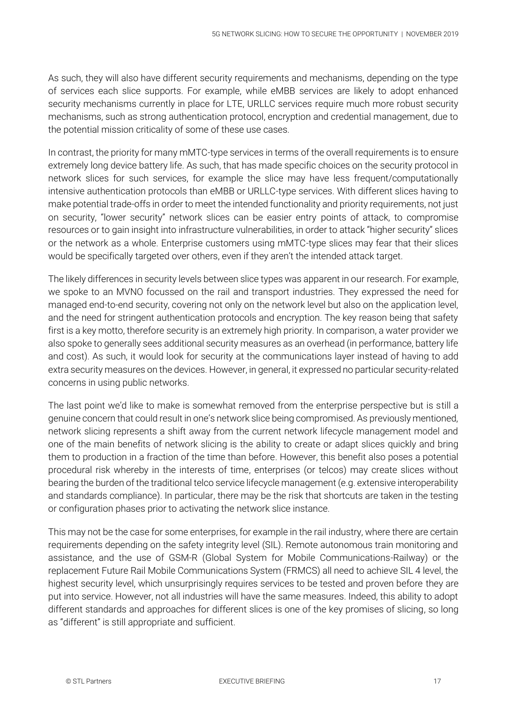As such, they will also have different security requirements and mechanisms, depending on the type of services each slice supports. For example, while eMBB services are likely to adopt enhanced security mechanisms currently in place for LTE, URLLC services require much more robust security mechanisms, such as strong authentication protocol, encryption and credential management, due to the potential mission criticality of some of these use cases.

In contrast, the priority for many mMTC-type services in terms of the overall requirements is to ensure extremely long device battery life. As such, that has made specific choices on the security protocol in network slices for such services, for example the slice may have less frequent/computationally intensive authentication protocols than eMBB or URLLC-type services. With different slices having to make potential trade-offs in order to meet the intended functionality and priority requirements, not just on security, "lower security" network slices can be easier entry points of attack, to compromise resources or to gain insight into infrastructure vulnerabilities, in order to attack "higher security" slices or the network as a whole. Enterprise customers using mMTC-type slices may fear that their slices would be specifically targeted over others, even if they aren't the intended attack target.

The likely differences in security levels between slice types was apparent in our research. For example, we spoke to an MVNO focussed on the rail and transport industries. They expressed the need for managed end-to-end security, covering not only on the network level but also on the application level, and the need for stringent authentication protocols and encryption. The key reason being that safety first is a key motto, therefore security is an extremely high priority. In comparison, a water provider we also spoke to generally sees additional security measures as an overhead (in performance, battery life and cost). As such, it would look for security at the communications layer instead of having to add extra security measures on the devices. However, in general, it expressed no particular security-related concerns in using public networks.

The last point we'd like to make is somewhat removed from the enterprise perspective but is still a genuine concern that could result in one's network slice being compromised. As previously mentioned, network slicing represents a shift away from the current network lifecycle management model and one of the main benefits of network slicing is the ability to create or adapt slices quickly and bring them to production in a fraction of the time than before. However, this benefit also poses a potential procedural risk whereby in the interests of time, enterprises (or telcos) may create slices without bearing the burden of the traditional telco service lifecycle management (e.g. extensive interoperability and standards compliance). In particular, there may be the risk that shortcuts are taken in the testing or configuration phases prior to activating the network slice instance.

This may not be the case for some enterprises, for example in the rail industry, where there are certain requirements depending on the safety integrity level (SIL). Remote autonomous train monitoring and assistance, and the use of GSM-R (Global System for Mobile Communications-Railway) or the replacement Future Rail Mobile Communications System (FRMCS) all need to achieve SIL 4 level, the highest security level, which unsurprisingly requires services to be tested and proven before they are put into service. However, not all industries will have the same measures. Indeed, this ability to adopt different standards and approaches for different slices is one of the key promises of slicing, so long as "different" is still appropriate and sufficient.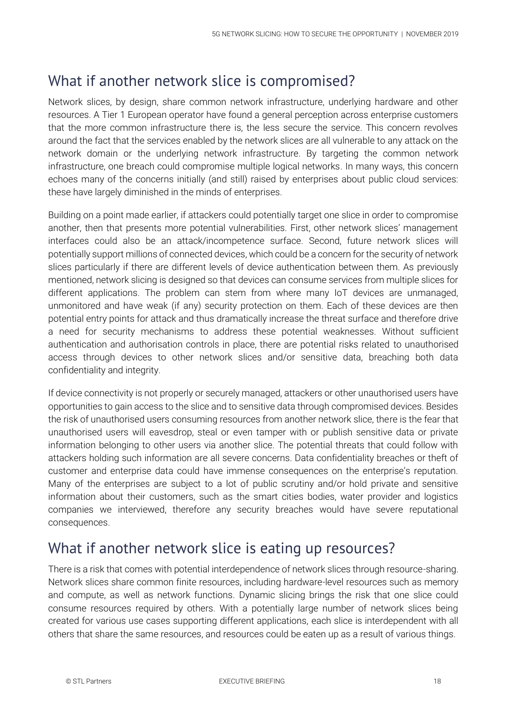## What if another network slice is compromised?

Network slices, by design, share common network infrastructure, underlying hardware and other resources. A Tier 1 European operator have found a general perception across enterprise customers that the more common infrastructure there is, the less secure the service. This concern revolves around the fact that the services enabled by the network slices are all vulnerable to any attack on the network domain or the underlying network infrastructure. By targeting the common network infrastructure, one breach could compromise multiple logical networks. In many ways, this concern echoes many of the concerns initially (and still) raised by enterprises about public cloud services: these have largely diminished in the minds of enterprises.

Building on a point made earlier, if attackers could potentially target one slice in order to compromise another, then that presents more potential vulnerabilities. First, other network slices' management interfaces could also be an attack/incompetence surface. Second, future network slices will potentially support millions of connected devices, which could be a concern for the security of network slices particularly if there are different levels of device authentication between them. As previously mentioned, network slicing is designed so that devices can consume services from multiple slices for different applications. The problem can stem from where many IoT devices are unmanaged, unmonitored and have weak (if any) security protection on them. Each of these devices are then potential entry points for attack and thus dramatically increase the threat surface and therefore drive a need for security mechanisms to address these potential weaknesses. Without sufficient authentication and authorisation controls in place, there are potential risks related to unauthorised access through devices to other network slices and/or sensitive data, breaching both data confidentiality and integrity.

If device connectivity is not properly or securely managed, attackers or other unauthorised users have opportunities to gain access to the slice and to sensitive data through compromised devices. Besides the risk of unauthorised users consuming resources from another network slice, there is the fear that unauthorised users will eavesdrop, steal or even tamper with or publish sensitive data or private information belonging to other users via another slice. The potential threats that could follow with attackers holding such information are all severe concerns. Data confidentiality breaches or theft of customer and enterprise data could have immense consequences on the enterprise's reputation. Many of the enterprises are subject to a lot of public scrutiny and/or hold private and sensitive information about their customers, such as the smart cities bodies, water provider and logistics companies we interviewed, therefore any security breaches would have severe reputational consequences.

### What if another network slice is eating up resources?

There is a risk that comes with potential interdependence of network slices through resource-sharing. Network slices share common finite resources, including hardware-level resources such as memory and compute, as well as network functions. Dynamic slicing brings the risk that one slice could consume resources required by others. With a potentially large number of network slices being created for various use cases supporting different applications, each slice is interdependent with all others that share the same resources, and resources could be eaten up as a result of various things.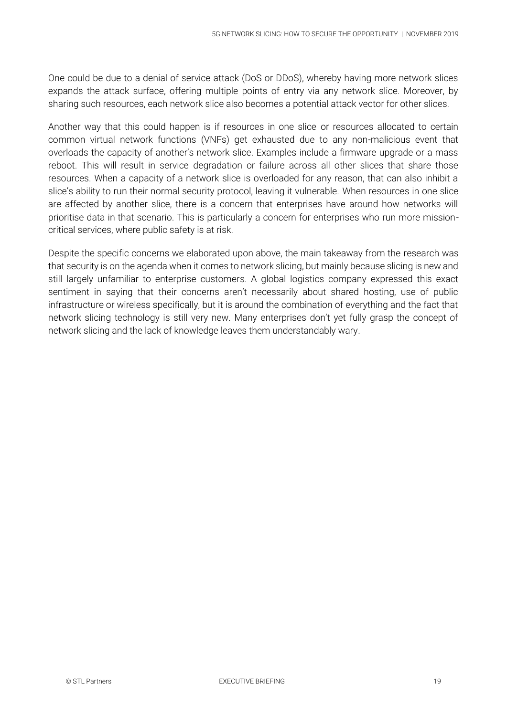One could be due to a denial of service attack (DoS or DDoS), whereby having more network slices expands the attack surface, offering multiple points of entry via any network slice. Moreover, by sharing such resources, each network slice also becomes a potential attack vector for other slices.

Another way that this could happen is if resources in one slice or resources allocated to certain common virtual network functions (VNFs) get exhausted due to any non-malicious event that overloads the capacity of another's network slice. Examples include a firmware upgrade or a mass reboot. This will result in service degradation or failure across all other slices that share those resources. When a capacity of a network slice is overloaded for any reason, that can also inhibit a slice's ability to run their normal security protocol, leaving it vulnerable. When resources in one slice are affected by another slice, there is a concern that enterprises have around how networks will prioritise data in that scenario. This is particularly a concern for enterprises who run more missioncritical services, where public safety is at risk.

Despite the specific concerns we elaborated upon above, the main takeaway from the research was that security is on the agenda when it comes to network slicing, but mainly because slicing is new and still largely unfamiliar to enterprise customers. A global logistics company expressed this exact sentiment in saying that their concerns aren't necessarily about shared hosting, use of public infrastructure or wireless specifically, but it is around the combination of everything and the fact that network slicing technology is still very new. Many enterprises don't yet fully grasp the concept of network slicing and the lack of knowledge leaves them understandably wary.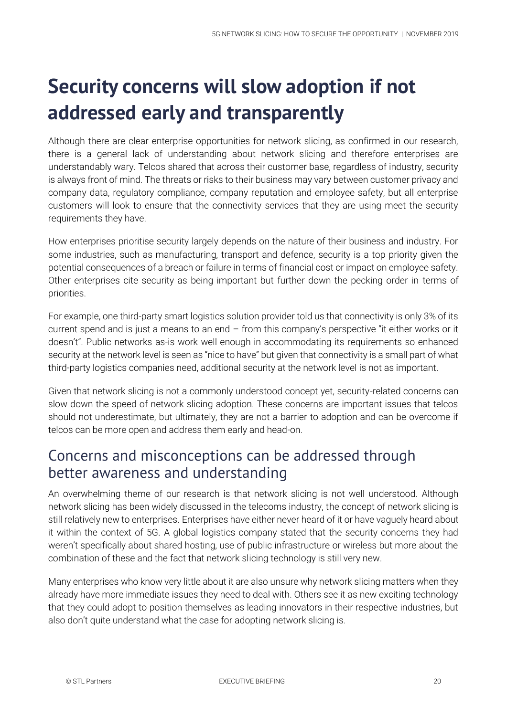## **Security concerns will slow adoption if not addressed early and transparently**

Although there are clear enterprise opportunities for network slicing, as confirmed in our research, there is a general lack of understanding about network slicing and therefore enterprises are understandably wary. Telcos shared that across their customer base, regardless of industry, security is always front of mind. The threats or risks to their business may vary between customer privacy and company data, regulatory compliance, company reputation and employee safety, but all enterprise customers will look to ensure that the connectivity services that they are using meet the security requirements they have.

How enterprises prioritise security largely depends on the nature of their business and industry. For some industries, such as manufacturing, transport and defence, security is a top priority given the potential consequences of a breach or failure in terms of financial cost or impact on employee safety. Other enterprises cite security as being important but further down the pecking order in terms of priorities.

For example, one third-party smart logistics solution provider told us that connectivity is only 3% of its current spend and is just a means to an end – from this company's perspective "it either works or it doesn't". Public networks as-is work well enough in accommodating its requirements so enhanced security at the network level is seen as "nice to have" but given that connectivity is a small part of what third-party logistics companies need, additional security at the network level is not as important.

Given that network slicing is not a commonly understood concept yet, security-related concerns can slow down the speed of network slicing adoption. These concerns are important issues that telcos should not underestimate, but ultimately, they are not a barrier to adoption and can be overcome if telcos can be more open and address them early and head-on.

### Concerns and misconceptions can be addressed through better awareness and understanding

An overwhelming theme of our research is that network slicing is not well understood. Although network slicing has been widely discussed in the telecoms industry, the concept of network slicing is still relatively new to enterprises. Enterprises have either never heard of it or have vaguely heard about it within the context of 5G. A global logistics company stated that the security concerns they had weren't specifically about shared hosting, use of public infrastructure or wireless but more about the combination of these and the fact that network slicing technology is still very new.

Many enterprises who know very little about it are also unsure why network slicing matters when they already have more immediate issues they need to deal with. Others see it as new exciting technology that they could adopt to position themselves as leading innovators in their respective industries, but also don't quite understand what the case for adopting network slicing is.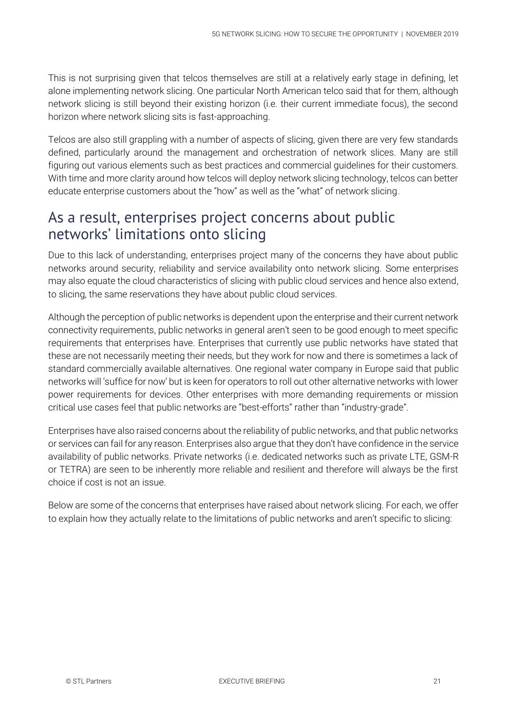This is not surprising given that telcos themselves are still at a relatively early stage in defining, let alone implementing network slicing. One particular North American telco said that for them, although network slicing is still beyond their existing horizon (i.e. their current immediate focus), the second horizon where network slicing sits is fast-approaching.

Telcos are also still grappling with a number of aspects of slicing, given there are very few standards defined, particularly around the management and orchestration of network slices. Many are still figuring out various elements such as best practices and commercial guidelines for their customers. With time and more clarity around how telcos will deploy network slicing technology, telcos can better educate enterprise customers about the "how" as well as the "what" of network slicing.

### As a result, enterprises project concerns about public networks' limitations onto slicing

Due to this lack of understanding, enterprises project many of the concerns they have about public networks around security, reliability and service availability onto network slicing. Some enterprises may also equate the cloud characteristics of slicing with public cloud services and hence also extend, to slicing, the same reservations they have about public cloud services.

Although the perception of public networks is dependent upon the enterprise and their current network connectivity requirements, public networks in general aren't seen to be good enough to meet specific requirements that enterprises have. Enterprises that currently use public networks have stated that these are not necessarily meeting their needs, but they work for now and there is sometimes a lack of standard commercially available alternatives. One regional water company in Europe said that public networks will 'suffice for now' but is keen for operators to roll out other alternative networks with lower power requirements for devices. Other enterprises with more demanding requirements or mission critical use cases feel that public networks are "best-efforts" rather than "industry-grade".

Enterprises have also raised concerns about the reliability of public networks, and that public networks or services can fail for any reason. Enterprises also argue that they don't have confidence in the service availability of public networks. Private networks (i.e. dedicated networks such as private LTE, GSM-R or TETRA) are seen to be inherently more reliable and resilient and therefore will always be the first choice if cost is not an issue.

Below are some of the concerns that enterprises have raised about network slicing. For each, we offer to explain how they actually relate to the limitations of public networks and aren't specific to slicing: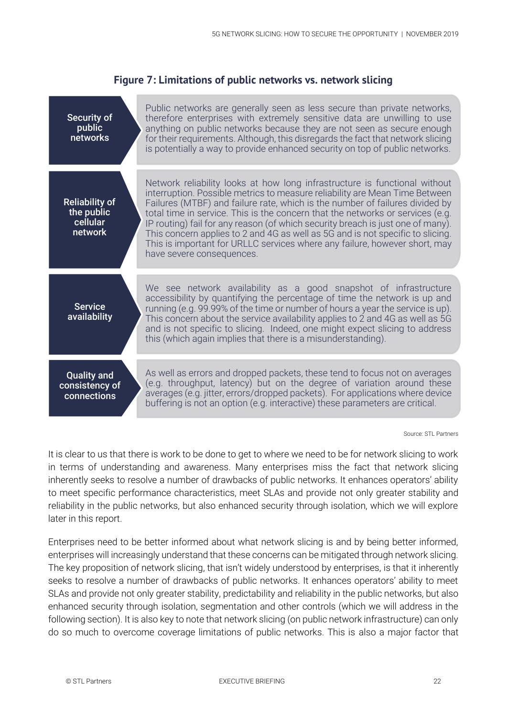| Security of<br>public<br>networks                          | Public networks are generally seen as less secure than private networks,<br>therefore enterprises with extremely sensitive data are unwilling to use<br>anything on public networks because they are not seen as secure enough<br>for their requirements. Although, this disregards the fact that network slicing<br>is potentially a way to provide enhanced security on top of public networks.                                                                                                                                                                                                           |
|------------------------------------------------------------|-------------------------------------------------------------------------------------------------------------------------------------------------------------------------------------------------------------------------------------------------------------------------------------------------------------------------------------------------------------------------------------------------------------------------------------------------------------------------------------------------------------------------------------------------------------------------------------------------------------|
| <b>Reliability of</b><br>the public<br>cellular<br>network | Network reliability looks at how long infrastructure is functional without<br>interruption. Possible metrics to measure reliability are Mean Time Between<br>Failures (MTBF) and failure rate, which is the number of failures divided by<br>total time in service. This is the concern that the networks or services (e.g.<br>IP routing) fail for any reason (of which security breach is just one of many).<br>This concern applies to 2 and 4G as well as 5G and is not specific to slicing.<br>This is important for URLLC services where any failure, however short, may<br>have severe consequences. |
| <b>Service</b><br>availability                             | We see network availability as a good snapshot of infrastructure<br>accessibility by quantifying the percentage of time the network is up and<br>running (e.g. 99.99% of the time or number of hours a year the service is up).<br>This concern about the service availability applies to 2 and 4G as well as 5G<br>and is not specific to slicing. Indeed, one might expect slicing to address<br>this (which again implies that there is a misunderstanding).                                                                                                                                             |
| <b>Quality and</b><br>consistency of<br>connections        | As well as errors and dropped packets, these tend to focus not on averages<br>(e.g. throughput, latency) but on the degree of variation around these<br>averages (e.g. jitter, errors/dropped packets). For applications where device<br>buffering is not an option (e.g. interactive) these parameters are critical.                                                                                                                                                                                                                                                                                       |

#### **Figure 7: Limitations of public networks vs. network slicing**

Source: STL Partners

It is clear to us that there is work to be done to get to where we need to be for network slicing to work in terms of understanding and awareness. Many enterprises miss the fact that network slicing inherently seeks to resolve a number of drawbacks of public networks. It enhances operators' ability to meet specific performance characteristics, meet SLAs and provide not only greater stability and reliability in the public networks, but also enhanced security through isolation, which we will explore later in this report.

Enterprises need to be better informed about what network slicing is and by being better informed, enterprises will increasingly understand that these concerns can be mitigated through network slicing. The key proposition of network slicing, that isn't widely understood by enterprises, is that it inherently seeks to resolve a number of drawbacks of public networks. It enhances operators' ability to meet SLAs and provide not only greater stability, predictability and reliability in the public networks, but also enhanced security through isolation, segmentation and other controls (which we will address in the following section). It is also key to note that network slicing (on public network infrastructure) can only do so much to overcome coverage limitations of public networks. This is also a major factor that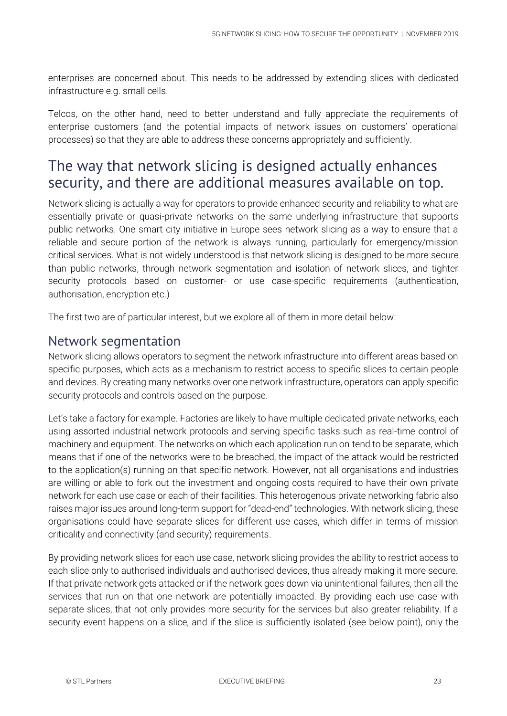enterprises are concerned about. This needs to be addressed by extending slices with dedicated infrastructure e.g. small cells.

Telcos, on the other hand, need to better understand and fully appreciate the requirements of enterprise customers (and the potential impacts of network issues on customers' operational processes) so that they are able to address these concerns appropriately and sufficiently.

### The way that network slicing is designed actually enhances security, and there are additional measures available on top.

Network slicing is actually a way for operators to provide enhanced security and reliability to what are essentially private or quasi-private networks on the same underlying infrastructure that supports public networks. One smart city initiative in Europe sees network slicing as a way to ensure that a reliable and secure portion of the network is always running, particularly for emergency/mission critical services. What is not widely understood is that network slicing is designed to be more secure than public networks, through network segmentation and isolation of network slices, and tighter security protocols based on customer- or use case-specific requirements (authentication, authorisation, encryption etc.)

The first two are of particular interest, but we explore all of them in more detail below:

#### Network segmentation

Network slicing allows operators to segment the network infrastructure into different areas based on specific purposes, which acts as a mechanism to restrict access to specific slices to certain people and devices. By creating many networks over one network infrastructure, operators can apply specific security protocols and controls based on the purpose.

Let's take a factory for example. Factories are likely to have multiple dedicated private networks, each using assorted industrial network protocols and serving specific tasks such as real-time control of machinery and equipment. The networks on which each application run on tend to be separate, which means that if one of the networks were to be breached, the impact of the attack would be restricted to the application(s) running on that specific network. However, not all organisations and industries are willing or able to fork out the investment and ongoing costs required to have their own private network for each use case or each of their facilities. This heterogenous private networking fabric also raises major issues around long-term support for "dead-end" technologies. With network slicing, these organisations could have separate slices for different use cases, which differ in terms of mission criticality and connectivity (and security) requirements.

By providing network slices for each use case, network slicing provides the ability to restrict access to each slice only to authorised individuals and authorised devices, thus already making it more secure. If that private network gets attacked or if the network goes down via unintentional failures, then all the services that run on that one network are potentially impacted. By providing each use case with separate slices, that not only provides more security for the services but also greater reliability. If a security event happens on a slice, and if the slice is sufficiently isolated (see below point), only the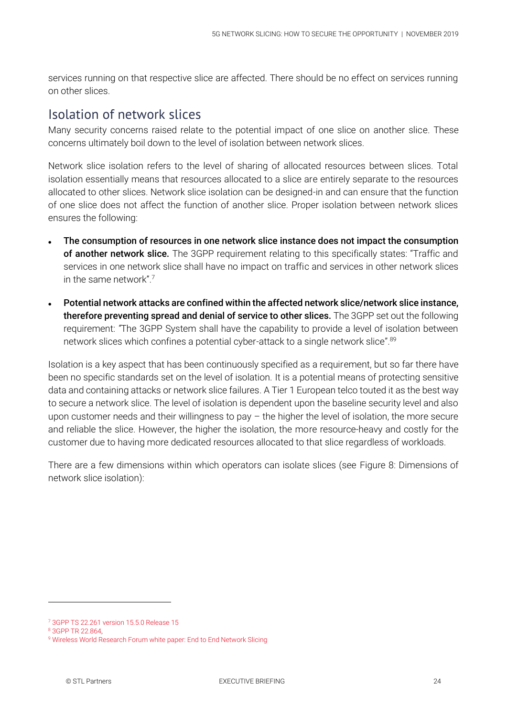services running on that respective slice are affected. There should be no effect on services running on other slices.

#### Isolation of network slices

Many security concerns raised relate to the potential impact of one slice on another slice. These concerns ultimately boil down to the level of isolation between network slices.

Network slice isolation refers to the level of sharing of allocated resources between slices. Total isolation essentially means that resources allocated to a slice are entirely separate to the resources allocated to other slices. Network slice isolation can be designed-in and can ensure that the function of one slice does not affect the function of another slice. Proper isolation between network slices ensures the following:

- The consumption of resources in one network slice instance does not impact the consumption of another network slice. The 3GPP requirement relating to this specifically states: "Traffic and services in one network slice shall have no impact on traffic and services in other network slices in the same network" $7$
- Potential network attacks are confined within the affected network slice/network slice instance, therefore preventing spread and denial of service to other slices. The 3GPP set out the following requirement: *"*The 3GPP System shall have the capability to provide a level of isolation between network slices which confines a potential cyber-attack to a single network slice".<sup>89</sup>

Isolation is a key aspect that has been continuously specified as a requirement, but so far there have been no specific standards set on the level of isolation. It is a potential means of protecting sensitive data and containing attacks or network slice failures. A Tier 1 European telco touted it as the best way to secure a network slice. The level of isolation is dependent upon the baseline security level and also upon customer needs and their willingness to pay  $-$  the higher the level of isolation, the more secure and reliable the slice. However, the higher the isolation, the more resource-heavy and costly for the customer due to having more dedicated resources allocated to that slice regardless of workloads.

There are a few dimensions within which operators can isolate slices (see [Figure 8: Dimensions of](#page-24-0)  [network slice isolation\)](#page-24-0):

<sup>7</sup> [3GPP TS 22.261 version 15.5.0 Release 15](https://www.etsi.org/deliver/etsi_ts/122200_122299/122261/15.05.00_60/ts_122261v150500p.pdf)

<sup>8</sup> [3GPP TR 22.864,](https://portal.3gpp.org/desktopmodules/Specifications/SpecificationDetails.aspx?specificationId=3016) 

<sup>9</sup> [Wireless World Research Forum white paper: End to End Network Slicing](https://www.wwrf.ch/files/wwrf/content/files/publications/outlook/White%20Paper%203-End%20to%20End%20Network%20Slicing.pdf)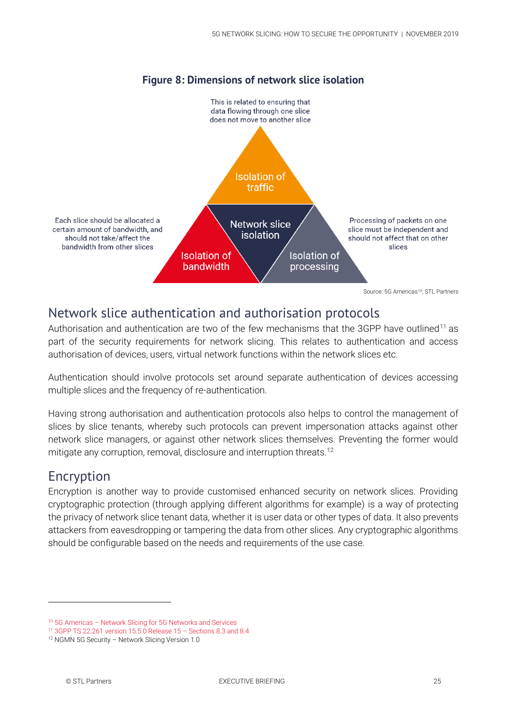<span id="page-24-0"></span>

#### **Figure 8: Dimensions of network slice isolation**

#### Network slice authentication and authorisation protocols

Authorisation and authentication are two of the few mechanisms that the 3GPP have outlined<sup>11</sup> as part of the security requirements for network slicing. This relates to authentication and access authorisation of devices, users, virtual network functions within the network slices etc.

Authentication should involve protocols set around separate authentication of devices accessing multiple slices and the frequency of re-authentication.

Having strong authorisation and authentication protocols also helps to control the management of slices by slice tenants, whereby such protocols can prevent impersonation attacks against other network slice managers, or against other network slices themselves. Preventing the former would mitigate any corruption, removal, disclosure and interruption threats.<sup>12</sup>

#### Encryption

-

Encryption is another way to provide customised enhanced security on network slices. Providing cryptographic protection (through applying different algorithms for example) is a way of protecting the privacy of network slice tenant data, whether it is user data or other types of data. It also prevents attackers from eavesdropping or tampering the data from other slices. Any cryptographic algorithms should be configurable based on the needs and requirements of the use case.

<sup>10</sup> 5G Americas – [Network Slicing for 5G Networks and Services](http://www.5gamericas.org/files/3214/7975/0104/5G_Americas_Network_Slicing_11.21_Final.pdf)

<sup>11</sup> [3GPP TS 22.261 version 15.5.0 Release 15](https://www.etsi.org/deliver/etsi_ts/122200_122299/122261/15.05.00_60/ts_122261v150500p.pdf) – Sections 8.3 and 8.4

<sup>12</sup> NGMN 5G Security – Network Slicing Version 1.0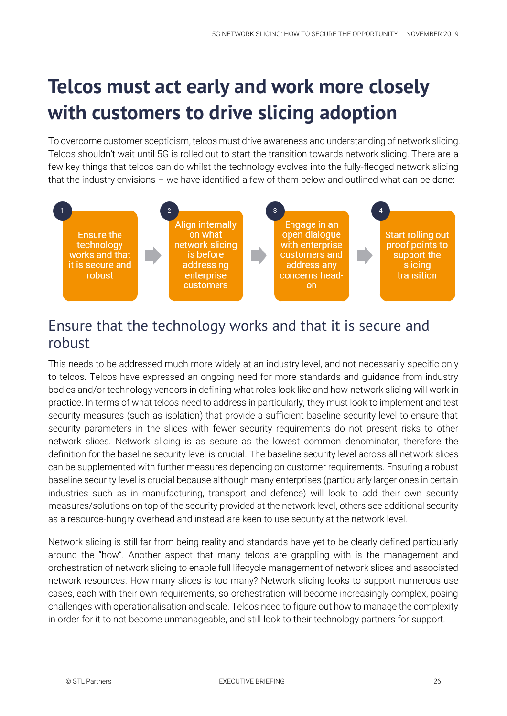## **Telcos must act early and work more closely with customers to drive slicing adoption**

To overcome customer scepticism, telcos must drive awareness and understanding of network slicing. Telcos shouldn't wait until 5G is rolled out to start the transition towards network slicing. There are a few key things that telcos can do whilst the technology evolves into the fully-fledged network slicing that the industry envisions – we have identified a few of them below and outlined what can be done:



## Ensure that the technology works and that it is secure and robust

This needs to be addressed much more widely at an industry level, and not necessarily specific only to telcos. Telcos have expressed an ongoing need for more standards and guidance from industry bodies and/or technology vendors in defining what roles look like and how network slicing will work in practice. In terms of what telcos need to address in particularly, they must look to implement and test security measures (such as isolation) that provide a sufficient baseline security level to ensure that security parameters in the slices with fewer security requirements do not present risks to other network slices. Network slicing is as secure as the lowest common denominator, therefore the definition for the baseline security level is crucial. The baseline security level across all network slices can be supplemented with further measures depending on customer requirements. Ensuring a robust baseline security level is crucial because although many enterprises (particularly larger ones in certain industries such as in manufacturing, transport and defence) will look to add their own security measures/solutions on top of the security provided at the network level, others see additional security as a resource-hungry overhead and instead are keen to use security at the network level.

Network slicing is still far from being reality and standards have yet to be clearly defined particularly around the "how". Another aspect that many telcos are grappling with is the management and orchestration of network slicing to enable full lifecycle management of network slices and associated network resources. How many slices is too many? Network slicing looks to support numerous use cases, each with their own requirements, so orchestration will become increasingly complex, posing challenges with operationalisation and scale. Telcos need to figure out how to manage the complexity in order for it to not become unmanageable, and still look to their technology partners for support.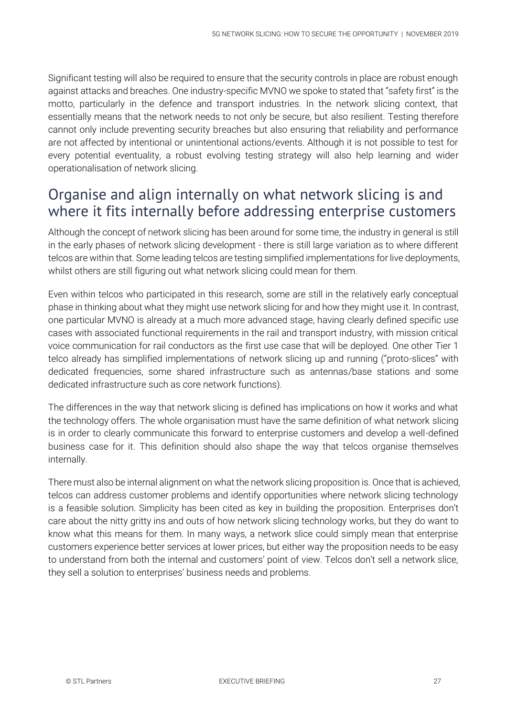Significant testing will also be required to ensure that the security controls in place are robust enough against attacks and breaches. One industry-specific MVNO we spoke to stated that "safety first" is the motto, particularly in the defence and transport industries. In the network slicing context, that essentially means that the network needs to not only be secure, but also resilient. Testing therefore cannot only include preventing security breaches but also ensuring that reliability and performance are not affected by intentional or unintentional actions/events. Although it is not possible to test for every potential eventuality, a robust evolving testing strategy will also help learning and wider operationalisation of network slicing.

### Organise and align internally on what network slicing is and where it fits internally before addressing enterprise customers

Although the concept of network slicing has been around for some time, the industry in general is still in the early phases of network slicing development - there is still large variation as to where different telcos are within that. Some leading telcos are testing simplified implementations for live deployments, whilst others are still figuring out what network slicing could mean for them.

Even within telcos who participated in this research, some are still in the relatively early conceptual phase in thinking about what they might use network slicing for and how they might use it. In contrast, one particular MVNO is already at a much more advanced stage, having clearly defined specific use cases with associated functional requirements in the rail and transport industry, with mission critical voice communication for rail conductors as the first use case that will be deployed. One other Tier 1 telco already has simplified implementations of network slicing up and running ("proto-slices" with dedicated frequencies, some shared infrastructure such as antennas/base stations and some dedicated infrastructure such as core network functions).

The differences in the way that network slicing is defined has implications on how it works and what the technology offers. The whole organisation must have the same definition of what network slicing is in order to clearly communicate this forward to enterprise customers and develop a well-defined business case for it. This definition should also shape the way that telcos organise themselves internally.

There must also be internal alignment on what the network slicing proposition is. Once that is achieved, telcos can address customer problems and identify opportunities where network slicing technology is a feasible solution. Simplicity has been cited as key in building the proposition. Enterprises don't care about the nitty gritty ins and outs of how network slicing technology works, but they do want to know what this means for them. In many ways, a network slice could simply mean that enterprise customers experience better services at lower prices, but either way the proposition needs to be easy to understand from both the internal and customers' point of view. Telcos don't sell a network slice, they sell a solution to enterprises' business needs and problems.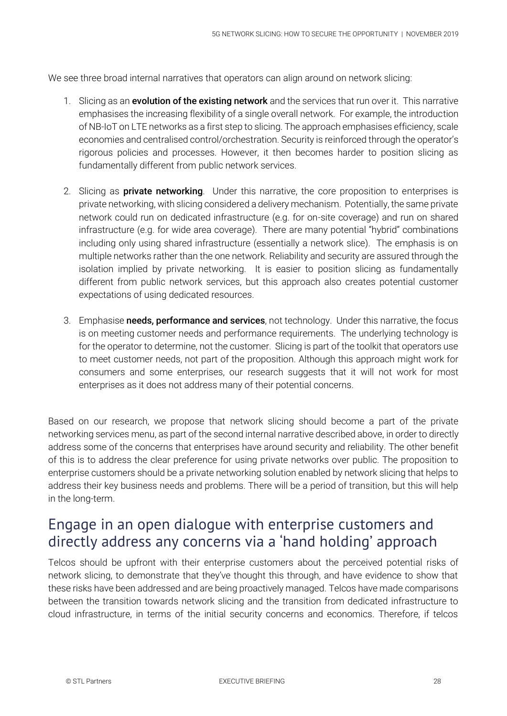We see three broad internal narratives that operators can align around on network slicing:

- 1. Slicing as an **evolution of the existing network** and the services that run over it. This narrative emphasises the increasing flexibility of a single overall network. For example, the introduction of NB-IoT on LTE networks as a first step to slicing. The approach emphasises efficiency, scale economies and centralised control/orchestration. Security is reinforced through the operator's rigorous policies and processes. However, it then becomes harder to position slicing as fundamentally different from public network services.
- 2. Slicing as **private networking**. Under this narrative, the core proposition to enterprises is private networking, with slicing considered a delivery mechanism. Potentially, the same private network could run on dedicated infrastructure (e.g. for on-site coverage) and run on shared infrastructure (e.g. for wide area coverage). There are many potential "hybrid" combinations including only using shared infrastructure (essentially a network slice). The emphasis is on multiple networks rather than the one network. Reliability and security are assured through the isolation implied by private networking. It is easier to position slicing as fundamentally different from public network services, but this approach also creates potential customer expectations of using dedicated resources.
- 3. Emphasise needs, performance and services, not technology. Under this narrative, the focus is on meeting customer needs and performance requirements. The underlying technology is for the operator to determine, not the customer. Slicing is part of the toolkit that operators use to meet customer needs, not part of the proposition. Although this approach might work for consumers and some enterprises, our research suggests that it will not work for most enterprises as it does not address many of their potential concerns.

Based on our research, we propose that network slicing should become a part of the private networking services menu, as part of the second internal narrative described above, in order to directly address some of the concerns that enterprises have around security and reliability. The other benefit of this is to address the clear preference for using private networks over public. The proposition to enterprise customers should be a private networking solution enabled by network slicing that helps to address their key business needs and problems. There will be a period of transition, but this will help in the long-term.

### Engage in an open dialogue with enterprise customers and directly address any concerns via a 'hand holding' approach

Telcos should be upfront with their enterprise customers about the perceived potential risks of network slicing, to demonstrate that they've thought this through, and have evidence to show that these risks have been addressed and are being proactively managed. Telcos have made comparisons between the transition towards network slicing and the transition from dedicated infrastructure to cloud infrastructure, in terms of the initial security concerns and economics. Therefore, if telcos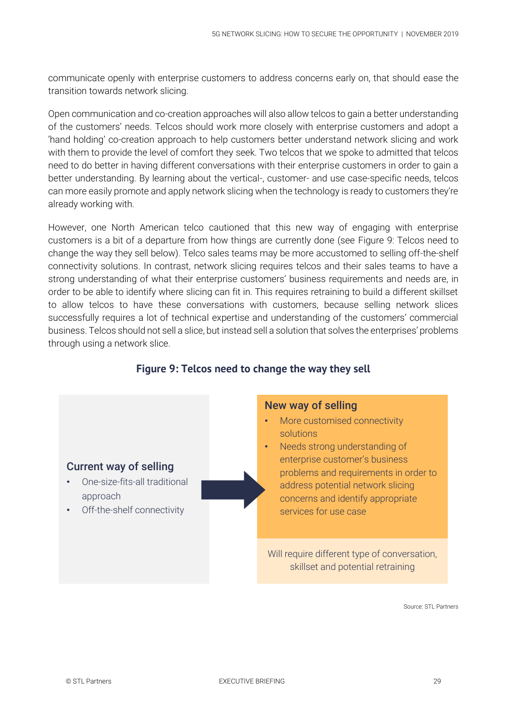communicate openly with enterprise customers to address concerns early on, that should ease the transition towards network slicing.

Open communication and co-creation approaches will also allow telcos to gain a better understanding of the customers' needs. Telcos should work more closely with enterprise customers and adopt a 'hand holding' co-creation approach to help customers better understand network slicing and work with them to provide the level of comfort they seek. Two telcos that we spoke to admitted that telcos need to do better in having different conversations with their enterprise customers in order to gain a better understanding. By learning about the vertical-, customer- and use case-specific needs, telcos can more easily promote and apply network slicing when the technology is ready to customers they're already working with.

However, one North American telco cautioned that this new way of engaging with enterprise customers is a bit of a departure from how things are currently done (see [Figure 9: Telcos need to](#page-28-0)  [change the way they sell](#page-28-0) below). Telco sales teams may be more accustomed to selling off-the-shelf connectivity solutions. In contrast, network slicing requires telcos and their sales teams to have a strong understanding of what their enterprise customers' business requirements and needs are, in order to be able to identify where slicing can fit in. This requires retraining to build a different skillset to allow telcos to have these conversations with customers, because selling network slices successfully requires a lot of technical expertise and understanding of the customers' commercial business. Telcos should not sell a slice, but instead sell a solution that solves the enterprises' problems through using a network slice.

<span id="page-28-0"></span>

#### **Figure 9: Telcos need to change the way they sell**

Source: STL Partners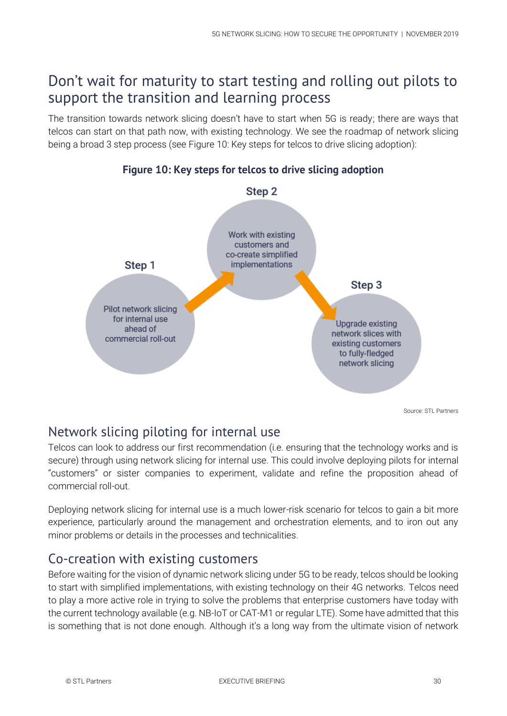### Don't wait for maturity to start testing and rolling out pilots to support the transition and learning process

The transition towards network slicing doesn't have to start when 5G is ready; there are ways that telcos can start on that path now, with existing technology. We see the roadmap of network slicing being a broad 3 step process (see [Figure 10: Key steps for telcos to drive slicing adoption\)](#page-29-0):

<span id="page-29-0"></span>

#### Network slicing piloting for internal use

Telcos can look to address our first recommendation (i.e. ensuring that the technology works and is secure) through using network slicing for internal use. This could involve deploying pilots for internal "customers" or sister companies to experiment, validate and refine the proposition ahead of commercial roll-out.

Deploying network slicing for internal use is a much lower-risk scenario for telcos to gain a bit more experience, particularly around the management and orchestration elements, and to iron out any minor problems or details in the processes and technicalities.

#### Co-creation with existing customers

Before waiting for the vision of dynamic network slicing under 5G to be ready, telcos should be looking to start with simplified implementations, with existing technology on their 4G networks. Telcos need to play a more active role in trying to solve the problems that enterprise customers have today with the current technology available (e.g. NB-IoT or CAT-M1 or regular LTE). Some have admitted that this is something that is not done enough. Although it's a long way from the ultimate vision of network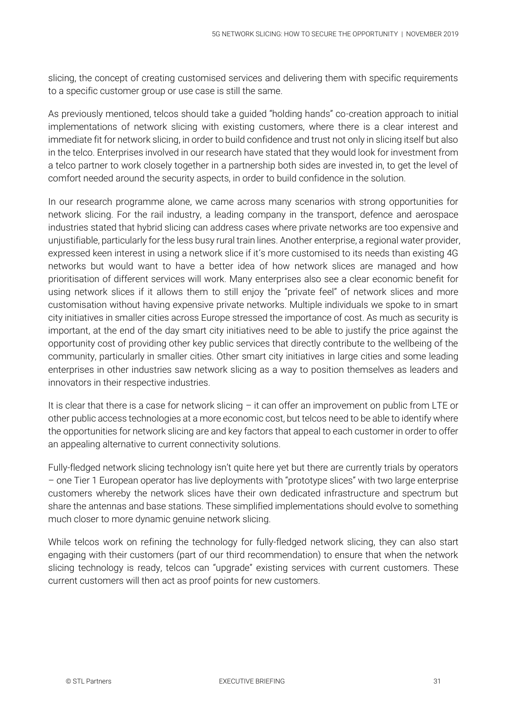slicing, the concept of creating customised services and delivering them with specific requirements to a specific customer group or use case is still the same.

As previously mentioned, telcos should take a guided "holding hands" co-creation approach to initial implementations of network slicing with existing customers, where there is a clear interest and immediate fit for network slicing, in order to build confidence and trust not only in slicing itself but also in the telco. Enterprises involved in our research have stated that they would look for investment from a telco partner to work closely together in a partnership both sides are invested in, to get the level of comfort needed around the security aspects, in order to build confidence in the solution.

In our research programme alone, we came across many scenarios with strong opportunities for network slicing. For the rail industry, a leading company in the transport, defence and aerospace industries stated that hybrid slicing can address cases where private networks are too expensive and unjustifiable, particularly for the less busy rural train lines. Another enterprise, a regional water provider, expressed keen interest in using a network slice if it's more customised to its needs than existing 4G networks but would want to have a better idea of how network slices are managed and how prioritisation of different services will work. Many enterprises also see a clear economic benefit for using network slices if it allows them to still enjoy the "private feel" of network slices and more customisation without having expensive private networks. Multiple individuals we spoke to in smart city initiatives in smaller cities across Europe stressed the importance of cost. As much as security is important, at the end of the day smart city initiatives need to be able to justify the price against the opportunity cost of providing other key public services that directly contribute to the wellbeing of the community, particularly in smaller cities. Other smart city initiatives in large cities and some leading enterprises in other industries saw network slicing as a way to position themselves as leaders and innovators in their respective industries.

It is clear that there is a case for network slicing – it can offer an improvement on public from LTE or other public access technologies at a more economic cost, but telcos need to be able to identify where the opportunities for network slicing are and key factors that appeal to each customer in order to offer an appealing alternative to current connectivity solutions.

Fully-fledged network slicing technology isn't quite here yet but there are currently trials by operators – one Tier 1 European operator has live deployments with "prototype slices" with two large enterprise customers whereby the network slices have their own dedicated infrastructure and spectrum but share the antennas and base stations. These simplified implementations should evolve to something much closer to more dynamic genuine network slicing.

While telcos work on refining the technology for fully-fledged network slicing, they can also start engaging with their customers (part of our third recommendation) to ensure that when the network slicing technology is ready, telcos can "upgrade" existing services with current customers. These current customers will then act as proof points for new customers.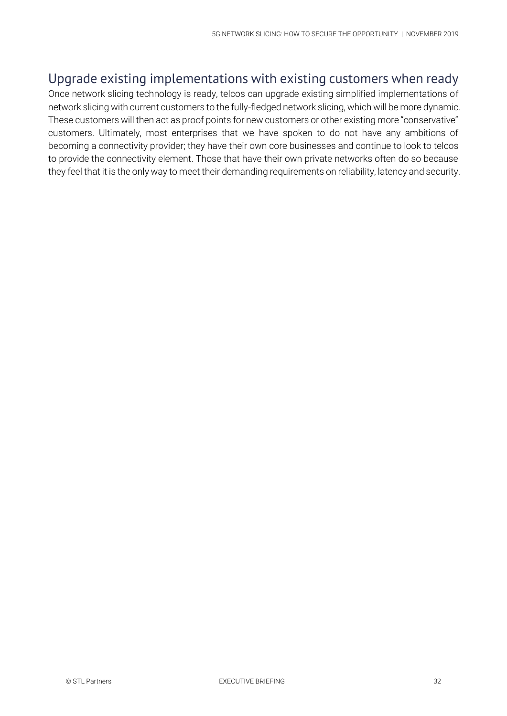#### Upgrade existing implementations with existing customers when ready

Once network slicing technology is ready, telcos can upgrade existing simplified implementations of network slicing with current customers to the fully-fledged network slicing, which will be more dynamic. These customers will then act as proof points for new customers or other existing more "conservative" customers. Ultimately, most enterprises that we have spoken to do not have any ambitions of becoming a connectivity provider; they have their own core businesses and continue to look to telcos to provide the connectivity element. Those that have their own private networks often do so because they feel that it is the only way to meet their demanding requirements on reliability, latency and security.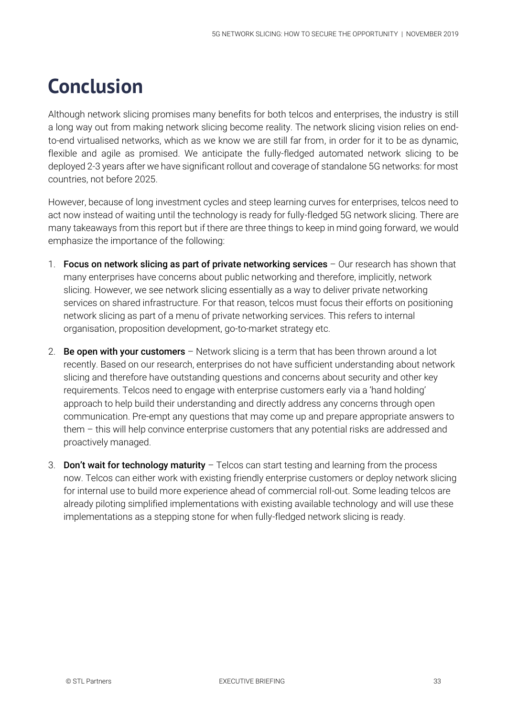## **Conclusion**

Although network slicing promises many benefits for both telcos and enterprises, the industry is still a long way out from making network slicing become reality. The network slicing vision relies on endto-end virtualised networks, which as we know we are still far from, in order for it to be as dynamic, flexible and agile as promised. We anticipate the fully-fledged automated network slicing to be deployed 2-3 years after we have significant rollout and coverage of standalone 5G networks: for most countries, not before 2025.

However, because of long investment cycles and steep learning curves for enterprises, telcos need to act now instead of waiting until the technology is ready for fully-fledged 5G network slicing. There are many takeaways from this report but if there are three things to keep in mind going forward, we would emphasize the importance of the following:

- 1. Focus on network slicing as part of private networking services  $-$  Our research has shown that many enterprises have concerns about public networking and therefore, implicitly, network slicing. However, we see network slicing essentially as a way to deliver private networking services on shared infrastructure. For that reason, telcos must focus their efforts on positioning network slicing as part of a menu of private networking services. This refers to internal organisation, proposition development, go-to-market strategy etc.
- 2. Be open with your customers  $-$  Network slicing is a term that has been thrown around a lot recently. Based on our research, enterprises do not have sufficient understanding about network slicing and therefore have outstanding questions and concerns about security and other key requirements. Telcos need to engage with enterprise customers early via a 'hand holding' approach to help build their understanding and directly address any concerns through open communication. Pre-empt any questions that may come up and prepare appropriate answers to them – this will help convince enterprise customers that any potential risks are addressed and proactively managed.
- 3. Don't wait for technology maturity  $-$  Telcos can start testing and learning from the process now. Telcos can either work with existing friendly enterprise customers or deploy network slicing for internal use to build more experience ahead of commercial roll-out. Some leading telcos are already piloting simplified implementations with existing available technology and will use these implementations as a stepping stone for when fully-fledged network slicing is ready.